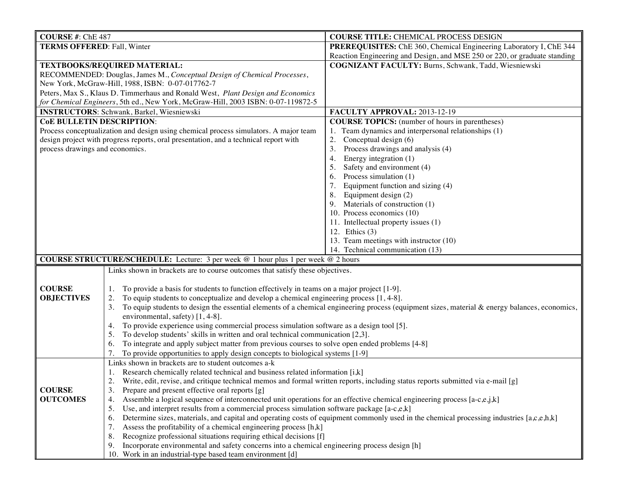| <b>COURSE #: ChE 487</b>                                                                 |                                                                                                                                 | <b>COURSE TITLE: CHEMICAL PROCESS DESIGN</b>                                                                                                  |  |
|------------------------------------------------------------------------------------------|---------------------------------------------------------------------------------------------------------------------------------|-----------------------------------------------------------------------------------------------------------------------------------------------|--|
| <b>TERMS OFFERED: Fall, Winter</b>                                                       |                                                                                                                                 | PREREQUISITES: ChE 360, Chemical Engineering Laboratory I, ChE 344                                                                            |  |
|                                                                                          |                                                                                                                                 | Reaction Engineering and Design, and MSE 250 or 220, or graduate standing                                                                     |  |
| TEXTBOOKS/REQUIRED MATERIAL:                                                             |                                                                                                                                 | <b>COGNIZANT FACULTY: Burns, Schwank, Tadd, Wiesniewski</b>                                                                                   |  |
| RECOMMENDED: Douglas, James M., Conceptual Design of Chemical Processes,                 |                                                                                                                                 |                                                                                                                                               |  |
|                                                                                          | New York, McGraw-Hill, 1988, ISBN: 0-07-017762-7                                                                                |                                                                                                                                               |  |
| Peters, Max S., Klaus D. Timmerhaus and Ronald West, Plant Design and Economics          |                                                                                                                                 |                                                                                                                                               |  |
| for Chemical Engineers, 5th ed., New York, McGraw-Hill, 2003 ISBN: 0-07-119872-5         |                                                                                                                                 |                                                                                                                                               |  |
| <b>INSTRUCTORS:</b> Schwank, Barkel, Wiesniewski                                         |                                                                                                                                 | FACULTY APPROVAL: 2013-12-19                                                                                                                  |  |
| <b>CoE BULLETIN DESCRIPTION:</b>                                                         |                                                                                                                                 | <b>COURSE TOPICS:</b> (number of hours in parentheses)                                                                                        |  |
| Process conceptualization and design using chemical process simulators. A major team     |                                                                                                                                 | 1. Team dynamics and interpersonal relationships (1)                                                                                          |  |
| design project with progress reports, oral presentation, and a technical report with     |                                                                                                                                 | 2.<br>Conceptual design (6)                                                                                                                   |  |
| process drawings and economics.                                                          |                                                                                                                                 | 3.<br>Process drawings and analysis (4)                                                                                                       |  |
|                                                                                          |                                                                                                                                 | Energy integration (1)<br>4.                                                                                                                  |  |
|                                                                                          |                                                                                                                                 | Safety and environment (4)<br>5.                                                                                                              |  |
|                                                                                          |                                                                                                                                 | Process simulation (1)<br>6.                                                                                                                  |  |
|                                                                                          |                                                                                                                                 | Equipment function and sizing (4)<br>7.                                                                                                       |  |
|                                                                                          |                                                                                                                                 | Equipment design (2)<br>8.                                                                                                                    |  |
|                                                                                          |                                                                                                                                 | Materials of construction (1)<br>9.                                                                                                           |  |
|                                                                                          |                                                                                                                                 | 10. Process economics (10)                                                                                                                    |  |
|                                                                                          |                                                                                                                                 | 11. Intellectual property issues (1)                                                                                                          |  |
|                                                                                          |                                                                                                                                 | 12. Ethics (3)                                                                                                                                |  |
|                                                                                          |                                                                                                                                 | 13. Team meetings with instructor (10)                                                                                                        |  |
|                                                                                          |                                                                                                                                 | 14. Technical communication (13)                                                                                                              |  |
| <b>COURSE STRUCTURE/SCHEDULE:</b> Lecture: 3 per week @ 1 hour plus 1 per week @ 2 hours |                                                                                                                                 |                                                                                                                                               |  |
|                                                                                          | Links shown in brackets are to course outcomes that satisfy these objectives.                                                   |                                                                                                                                               |  |
| <b>COURSE</b>                                                                            | To provide a basis for students to function effectively in teams on a major project [1-9].                                      |                                                                                                                                               |  |
| <b>OBJECTIVES</b>                                                                        | To equip students to conceptualize and develop a chemical engineering process [1, 4-8].<br>2.                                   |                                                                                                                                               |  |
|                                                                                          | 3.                                                                                                                              | To equip students to design the essential elements of a chemical engineering process (equipment sizes, material & energy balances, economics, |  |
|                                                                                          | environmental, safety) [1, 4-8].                                                                                                |                                                                                                                                               |  |
|                                                                                          | 4.                                                                                                                              | To provide experience using commercial process simulation software as a design tool [5].                                                      |  |
|                                                                                          | To develop students' skills in written and oral technical communication [2,3].<br>5.                                            |                                                                                                                                               |  |
|                                                                                          | To integrate and apply subject matter from previous courses to solve open ended problems [4-8]<br>6.                            |                                                                                                                                               |  |
|                                                                                          | 7.<br>To provide opportunities to apply design concepts to biological systems [1-9]                                             |                                                                                                                                               |  |
|                                                                                          | Links shown in brackets are to student outcomes a-k                                                                             |                                                                                                                                               |  |
|                                                                                          | Research chemically related technical and business related information [i,k]                                                    |                                                                                                                                               |  |
|                                                                                          | Write, edit, revise, and critique technical memos and formal written reports, including status reports submitted via e-mail [g] |                                                                                                                                               |  |
| <b>COURSE</b>                                                                            | Prepare and present effective oral reports [g]<br>3.                                                                            |                                                                                                                                               |  |
| <b>OUTCOMES</b>                                                                          | 4.                                                                                                                              | Assemble a logical sequence of interconnected unit operations for an effective chemical engineering process $[a-c,e,j,k]$                     |  |
|                                                                                          | Use, and interpret results from a commercial process simulation software package $[a-c,c,k]$<br>5.                              |                                                                                                                                               |  |
|                                                                                          | 6.                                                                                                                              | Determine sizes, materials, and capital and operating costs of equipment commonly used in the chemical processing industries [a,c,e,h,k]      |  |
|                                                                                          | Assess the profitability of a chemical engineering process $[h, k]$<br>7.                                                       |                                                                                                                                               |  |
|                                                                                          | Recognize professional situations requiring ethical decisions [f]<br>8.                                                         |                                                                                                                                               |  |
|                                                                                          | Incorporate environmental and safety concerns into a chemical engineering process design [h]<br>9.                              |                                                                                                                                               |  |
|                                                                                          | 10. Work in an industrial-type based team environment [d]                                                                       |                                                                                                                                               |  |